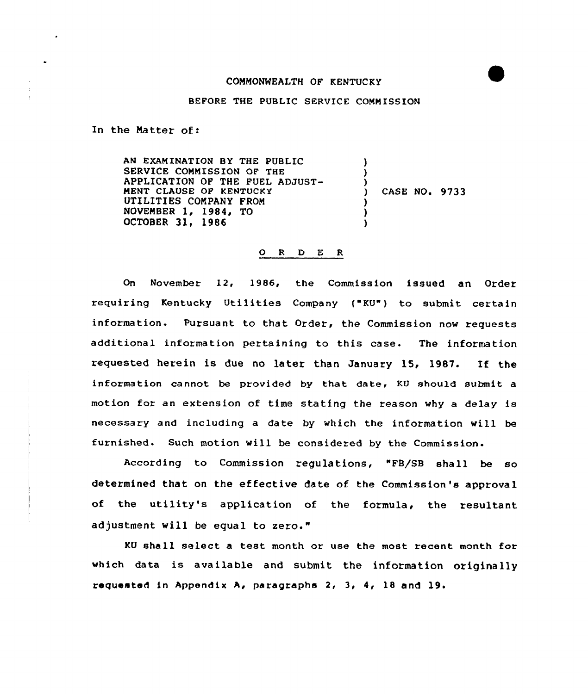## COMMONWEALTH OF KENTUCKY

## BEFORE THE PUBLIC SERVICE COMMISSION

In the Matter of:

AN EXAMINATION BY THE PUBLIC SERVICE COMMISSION OF THE APPLICATION OF THE FUEL ADJUST-MENT CLAUSE OF KENTUCKY UTILITIES COMPANY FROM NOVEMBER 1, 1984, TO OCTOBER 3l, 1986  $\lambda$ ) ) ) CASE NO. 9733 ) )

## 0 <sup>R</sup> <sup>D</sup> E <sup>R</sup>

On November 12, 1986, the Commission issued an Order requiring Kentucky Utilities Company ("KU" ) to submit certain information. Pursuant to that Order, the Commission now requests additional information pertaining to this case- The information requested herein is due no later than January 15, 1987. If the information cannot be provided by that date, KU should submit a motion for an extension of time stating the reason why a delay is necessary and including a date by which the information will be furnished. Such motion will be considered by the Commission-

According to Commission regulations, "FB/SB shall be so determined that on the effective date of the Commission's approval of the utility's application of the formula, the resultant adjustment will be equal to zero."

KU shall select a test month or use the most recent month for which data is available and submit the information originally requested in Appendix A> paragraphs 2, 3, 4, 18 and 19.